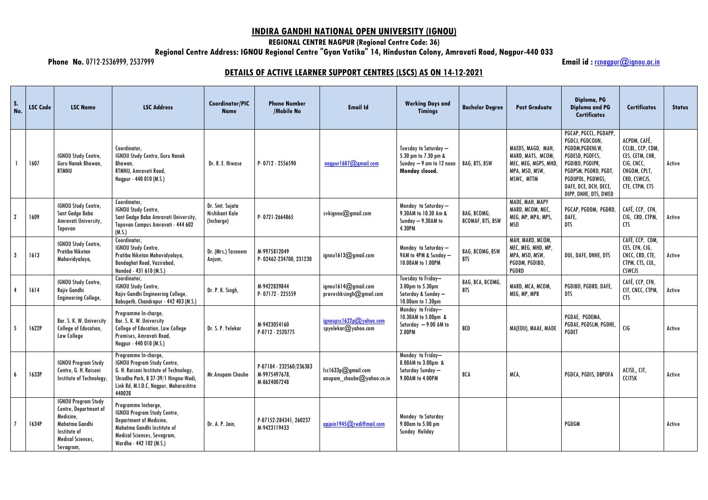## **INDIRA GANDHI NATIONAL OPEN UNIVERSITY (IGNOU)**

**REGIONAL CENTRE NAGPUR (Regional Centre Code: 36)**

**Regional Centre Address: IGNOU Regional Centre "Gyan Vatika" 14, Hindustan Colony, Amravati Road, Nagpur-440 033**

**Phone No.** 0712-2536999, 2537999 **Email id :** [rcnagpur@ignou.ac.in](mailto:rcnagpur@ignou.ac.in)

## **DETAILS OF ACTIVE LEARNER SUPPORT CENTRES (LSCS) AS ON 14-12-2021**

| $S$ .<br>No.   | <b>LSC Code</b> | <b>LSC Name</b>                                                                                                                             | <b>LSC Address</b>                                                                                                                                                                              | <b>Coordinator/PIC</b><br><b>Name</b>           | <b>Phone Number</b><br>/Mobile No                        | <b>Email Id</b>                                        | <b>Working Days and</b><br><b>Timings</b>                                                   | <b>Bachelor Degree</b>                 | <b>Post Graduate</b>                                                                           | Diploma, PG<br><b>Diploma and PG</b><br><b>Certificates</b>                                                                                                                                     | <b>Certificates</b>                                                                                                 | <b>Status</b> |
|----------------|-----------------|---------------------------------------------------------------------------------------------------------------------------------------------|-------------------------------------------------------------------------------------------------------------------------------------------------------------------------------------------------|-------------------------------------------------|----------------------------------------------------------|--------------------------------------------------------|---------------------------------------------------------------------------------------------|----------------------------------------|------------------------------------------------------------------------------------------------|-------------------------------------------------------------------------------------------------------------------------------------------------------------------------------------------------|---------------------------------------------------------------------------------------------------------------------|---------------|
|                | 1607            | <b>IGNOU Study Centre,</b><br>Guru Nanak Bhawan,<br><b>RTMNU</b>                                                                            | Coordinator,<br><b>IGNOU Study Centre, Guru Nanak</b><br>Bhawan,<br>RTMNU, Amravati Road,<br>Nagpur - 440 010 (M.S.)                                                                            | Dr. R. E. Hiwase                                | P-0712-2556590                                           | $nagnv1607$ @gmail.com                                 | Tuesday to Saturday —<br>5.30 pm to 7.30 pm &<br>Sunday - 9 am to 12 noon<br>Monday closed. | <b>BAG, BTS, BSW</b>                   | MAEDS, MAGD, MAH,<br>MARD, MATS, MCOM,<br>MEC, MEG, MGPS, MHD,<br>MPA, MSO, MSW,<br>MSWC, MTTM | PGCAP, PGCCL, PGDAPP,<br>PGDCJ, PGDCOUN,<br>PGDDM, PGDENLW,<br>PGDESD, PGDFCS,<br>PGDIBO, PGDIPR,<br>PGDPSM, PGDRD, PGDT,<br>PGDUPDL, PGDWGS,<br>DAFE, DCE, DCH, DECE,<br>DIPP, DNHE, DTS, DWED | ACPDM, CAFÉ,<br>CCLBL, CCP, CDM,<br>CES, CETM, CHR,<br>CIG, CNCC,<br>CNGOM, CPLT,<br>CRD, CSWCJS,<br>CTE, CTPM, CTS | Active        |
| $\overline{2}$ | 1609            | <b>IGNOU Study Centre,</b><br>Sant Gadge Baba<br>Amravati University,<br>Tapovan                                                            | Coordinator,<br><b>IGNOU Study Centre,</b><br>Sant Gadge Baba Amravati University,<br>Tapovan Campus Amravati - 444 602<br>(M.S.)                                                               | Dr. Smt. Sujata<br>Nishikant Kale<br>(Incharge) | P-0721-2664865                                           | svkignov@gmail.com                                     | Monday to Saturday -<br>9.30AM to 10.30 Am &<br>Sunday - 9.30AM to<br>4.30PM                | BAG, BCOMG,<br><b>BCOMAF, BTS, BSW</b> | MADE, MAH, MAPY<br>MARD, MCOM, MEC,<br>MEG, MP, MPA, MPS,<br>MSO                               | PGCAP, PGDDM, PGDRD,<br>DAFE,<br><b>DTS</b>                                                                                                                                                     | CAFÉ, CCP, CFN,<br>CIG, CRD, CTPM,<br><b>CTS</b>                                                                    | Active        |
| 3              | 1613            | <b>IGNOU Study Centre,</b><br>Pratiba Niketan<br>Mahavidyalaya,                                                                             | Coordinator,<br><b>IGNOU Study Centre,</b><br>Pratiba Niketan Mahavidyalaya,<br><b>Bandaghat Road, Vazirabad,</b><br>Nanded - 431 610 (M.S.)                                                    | Dr. (Mrs.) Tasneem<br>Anjum,                    | M-9975812049<br>P-02462-234700, 231230                   | ignou1613@gmail.com                                    | Monday to Saturday -<br>9AM to 4PM & Sunday -<br>10.00AM to 1.00PM                          | <b>BAG, BCOMG, BSW</b><br><b>BTS</b>   | MAH, MARD, MCOM,<br>MEC, MEG, MHD, MP<br>MPA, MSO, MSW,<br>PGDDM, PGDIBO,<br><b>PGDRD</b>      | DUL, DAFE, DNHE, DTS                                                                                                                                                                            | CAFÉ, CCP, CDM,<br>CES, CFN, CIG,<br>CNCC, CRD, CTE,<br>CTPM, CTS, CUL,<br><b>CSWCJS</b>                            | Active        |
|                | 1614            | IGNOU Study Centre,<br>Rajiv Gandhi<br><b>Engineering College,</b>                                                                          | Coordinator,<br><b>IGNOU Study Centre,</b><br>Rajiv Gandhi Engineering College,<br>Babupeth, Chandrapur - 442 403 (M.S.)                                                                        | Dr. P. K. Singh                                 | M-9422839844<br>P-07172-225559                           | ignou1614 $@g$ gmail.com<br>praveshksingh@gmail.com    | Tuesday to Friday-<br>3.00pm to 5.30pm<br>Saturday & Sunday -<br>10.00am to 1.30pm          | BAG, BCA, BCOMG,<br><b>BTS</b>         | MARD, MCA, MCOM,<br>MEG, MP, MPB                                                               | PGDIBO, PGDRD, DAFE,<br>DTS                                                                                                                                                                     | CAFÉ, CCP, CFN,<br>CIT, CNCC, CTPM,<br><b>CTS</b>                                                                   | Active        |
| -5             | 1622P           | Bar. S. K. W. University<br>College of Education,<br>Law College                                                                            | Programme In-charge,<br>Bar. S. K. W. University<br><b>College of Education, Law College</b><br>Premises, Amravati Road,<br>Nagpur - 440 010 (M.S.)                                             | Dr. S. P. Yelekar                               | M-9423054160<br>P-0712 - 2520775                         | ignoupsc1622p $@$ yahoo.com<br>spyelekar@yahoo.com     | Monday to Friday-<br>10.30AM to 5.00pm &<br>Saturday - 9.00 AM to<br>2.00PM                 | BED                                    | MA(EDU), MAAE, MADE                                                                            | PGDAE, PGDEMA,<br>PGDAE, PGDSLM, PGDHE,<br><b>PGDET</b>                                                                                                                                         | CIG                                                                                                                 | Active        |
| 6              | 1633P           | <b>IGNOU Program Study</b><br>Centre, G. H. Raisoni<br>Institute of Technology,                                                             | Programme In-charge,<br><b>IGNOU Program Study Centre,</b><br>G. H. Raisoni Institute of Technology,<br>Shradha Park, B 37-39/1 Hingna-Wadi,<br>Link Rd, M.I.D.C, Nagpur, Maharashtra<br>440028 | Mr.Anupam Chaube                                | P-07104 - 232560/236383<br>M-9975497678,<br>M-8624007248 | lscl633pQgmail.com<br>$anupam\_chaube$ $Q$ yahoo.co.in | Monday to Friday-<br>8.00AM to 3.00pm &<br>Saturday Sunday —<br>9.00AM to 4.00PM            | BCA                                    | MCA,                                                                                           | PGDCA, PGDIS, DBPOFA                                                                                                                                                                            | ACISE,, CIT,<br><b>CCITSK</b>                                                                                       | Active        |
|                | 1634P           | <b>IGNOU Program Study</b><br>Centre, Department of<br>Medicine,<br>Mahatma Gandhi<br>Institute of<br><b>Medical Sciences,</b><br>Sevagram, | Programme Incharge,<br><b>IGNOU Program Study Centre,</b><br>Department of Medicine,<br>Mahatma Gandhi Institute of<br>Medical Sciences, Sevagram,<br>Wardha - 442 102 (M.S.)                   | Dr. A. P. Jain,                                 | P-07152-284341, 260237<br>M-9423119433                   | apiain1945@rediffmail.com                              | Monday to Saturday<br>9.00am to 5.00 pm<br>Sunday Holiday                                   |                                        |                                                                                                | PGDGM                                                                                                                                                                                           |                                                                                                                     | Active        |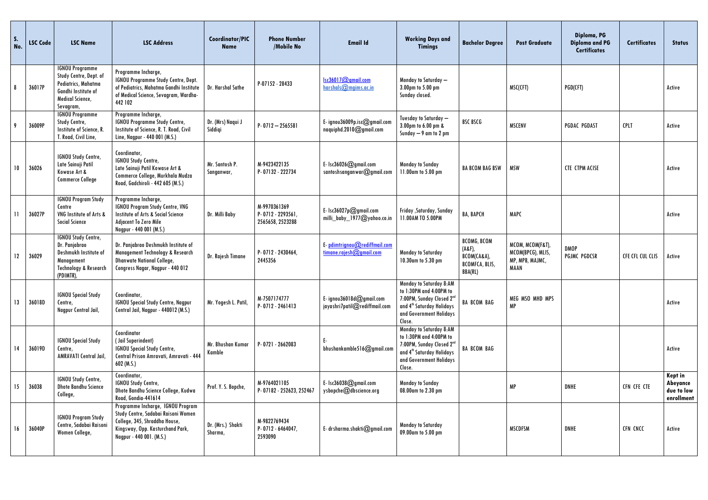| $\mathsf{S}$ .<br>No.   | <b>LSC Code</b> | <b>LSC Name</b>                                                                                                                     | <b>LSC Address</b>                                                                                                                                                        | Coordinator/PIC<br><b>Name</b> | <b>Phone Number</b><br>/Mobile No                   | <b>Email Id</b>                                            | <b>Working Days and</b><br><b>Timings</b>                                                                                                                                 | <b>Bachelor Degree</b>                                                                | <b>Post Graduate</b>                                                    | Diploma, PG<br><b>Diploma and PG</b><br><b>Certificates</b> | <b>Certificates</b> | <b>Status</b>                                          |
|-------------------------|-----------------|-------------------------------------------------------------------------------------------------------------------------------------|---------------------------------------------------------------------------------------------------------------------------------------------------------------------------|--------------------------------|-----------------------------------------------------|------------------------------------------------------------|---------------------------------------------------------------------------------------------------------------------------------------------------------------------------|---------------------------------------------------------------------------------------|-------------------------------------------------------------------------|-------------------------------------------------------------|---------------------|--------------------------------------------------------|
| 8                       | 36017P          | <b>IGNOU Programme</b><br>Study Centre, Dept. of<br>Pediatrics, Mahatma<br>Gandhi Institute of<br>Medical Science,<br>Sevagram,     | Programme Incharge,<br>IGNOU Programme Study Centre, Dept.<br>of Pediatrics, Mahatma Gandhi Institute<br>of Medical Science, Sevagram, Wardha-<br>442 102                 | Dr. Harshal Sathe              | P-07152 - 28433                                     | Isc36017@gmail.com<br>harshals@mgims.ac.in                 | Monday to Saturday -<br>3.00pm to 5.00 pm<br>Sunday closed.                                                                                                               |                                                                                       | MSC(CFT)                                                                | PGD(CFT)                                                    |                     | Active                                                 |
| - 9                     | 36009P          | <b>IGNOU Programme</b><br>Study Centre,<br>Institute of Science, R.<br>T. Road, Civil Line,                                         | Programme Incharge,<br><b>IGNOU Programme Study Centre,</b><br>Institute of Science, R. T. Road, Civil<br>Line, Nagpur - 440 001 (M.S.)                                   | Dr. (Mrs) Naqui J<br>Siddigi   | $P - 0712 - 2565581$                                | E-ignou36009p.isc@gmail.com<br>naquiphd.2010@gmail.com     | Tuesday to Saturday -<br>3.00pm to 6.00 pm &<br>Sunday $-9$ am to 2 pm                                                                                                    | BSC BSCG                                                                              | <b>MSCENV</b>                                                           | <b>PGDAC PGDAST</b>                                         | <b>CPLT</b>         | Active                                                 |
| 10                      | 36026           | IGNOU Study Centre,<br>Late Sainuji Patil<br>Kowase Art &<br><b>Commerce College</b>                                                | Coordinator,<br><b>IGNOU Study Centre,</b><br>Late Sainuji Patil Kowase Art &<br>Commerce College, Murkhala Mudza<br>Road, Gadchiroli - 442 605 (M.S.)                    | Mr. Santosh P.<br>Sanganwar,   | M-9423422135<br>P-07132 - 222734                    | E- $lsc36026$ @gmail.com<br>santoshsanganwar $@$ gmail.com | <b>Monday to Sunday</b><br>11.00am to 5.00 pm                                                                                                                             | <b>BA BCOM BAG BSW</b>                                                                | <b>MSW</b>                                                              | <b>CTE CTPM ACISE</b>                                       |                     | Active                                                 |
| $\overline{\mathbf{1}}$ | 36027P          | <b>IGNOU Program Study</b><br>Centre<br>VNG Institute of Arts &<br><b>Social Science</b>                                            | Programme Incharge,<br><b>IGNOU Program Study Centre, VNG</b><br>Institute of Arts & Social Science<br><b>Adjacent To Zero Mile</b><br>Nagpur - 440 001 (M.S.)            | Dr. Milli Baby                 | M-9970361369<br>P-0712-2293561,<br>2565658, 2523288 | E- $lsc36027pQgmail.com$<br>milli_baby_1977@yahoo.co.in    | Friday , Saturday, Sunday<br>11.00AM TO 5.00PM                                                                                                                            | <b>BA, BAPCH</b>                                                                      | <b>MAPC</b>                                                             |                                                             |                     | Active                                                 |
| 12                      | 36029           | <b>IGNOU Study Centre,</b><br>Dr. Panjabrao<br>Deshmukh Institute of<br>Management<br><b>Technology &amp; Research</b><br>(PDIMTR), | Dr. Panjabrao Deshmukh Institute of<br>Management Technology & Research<br><b>Dhanwate National College,</b><br>Congress Nagar, Nagpur - 440 012                          | Dr. Rajesh Timane              | P-0712-2430464,<br>2445356                          | E pdimtrignou@rediffmail.com<br>time.readesh@gmail.com     | <b>Monday to Saturday</b><br>10.30am to 5.30 pm                                                                                                                           | <b>BCOMG, BCOM</b><br>(ABF)<br>BCOM(CA&A),<br><b>BCOMFCA, BLIS,</b><br><b>BBA(RL)</b> | MCOM, MCOM(F&T),<br>MCOM(BPCG), MLIS,<br>MP, MPB, MAJMC,<br><b>MAAN</b> | <b>DMOP</b><br><b>PGJMC PGDCSR</b>                          | CFE CFL CUL CLIS    | Active                                                 |
| 13                      | 36018D          | <b>IGNOU Special Study</b><br>Centre,<br>Nagpur Central Jail,                                                                       | Coordinator,<br><b>IGNOU Special Study Centre, Nagpur</b><br>Central Jail, Nagpur - 440012 (M.S.)                                                                         | Mr. Yogesh L. Patil,           | M-7507174777<br>P-0712-2461413                      | E-ignou36018d@gmail.com<br>jayashri7patil@rediffmail.com   | <b>Monday to Saturday 8:AM</b><br>to 1:30PM and 4:00PM to<br>7:00PM, Sunday Closed 2nd<br>and 4 <sup>th</sup> Saturday Holidays<br>and Government Holidays<br>Close.      | <b>BA BCOM BAG</b>                                                                    | MEG MSO MHD MPS<br>МP                                                   |                                                             |                     | Active                                                 |
| 14                      | 36019D          | <b>IGNOU Special Study</b><br>Centre,<br>AMRAVATI Central Jail,                                                                     | Coordinator<br>(Jail Superindent)<br><b>IGNOU Special Study Centre,</b><br>Central Prison Amravati, Amravati - 444<br>$602$ (M.S.)                                        | Mr. Bhushan Kumar<br>Kamble    | P-0721-2662083                                      | Ε.<br>bhushankamble516@gmail.com                           | Monday to Saturday 8:AM<br>to 1:30PM and 4:00PM to<br>7:00PM, Sunday Closed 2 <sup>nd</sup><br>and 4 <sup>th</sup> Saturday Holidays<br>and Government Holidays<br>Close. | <b>BA BCOM BAG</b>                                                                    |                                                                         |                                                             |                     | Active                                                 |
| 15                      | 36038           | <b>IGNOU Study Centre,</b><br><b>Dhote Bandhu Science</b><br>College,                                                               | Coordinator,<br>IGNOU Study Centre,<br>Dhote Bandhu Science College, Kudwa<br>Road, Gondia-441614                                                                         | Prof. Y. S. Bopche,            | M-9764021105<br>P-07182 - 252623, 252467            | E- $lsc36038@gmail.com$<br>ysbopche@dbscience.org          | <b>Monday to Sunday</b><br>08.00am to 2.30 pm                                                                                                                             |                                                                                       | <b>MP</b>                                                               | <b>DNHE</b>                                                 | CFN CFE CTE         | <b>Kept in</b><br>Abeyance<br>due to low<br>enrollment |
| 16                      | 36040P          | <b>IGNOU Program Study</b><br>Centre, Sadabai Raisoni<br>Women College,                                                             | Programme Incharge, IGNOU Program<br>Study Centre, Sadabai Raisoni Women<br>College, 345, Shraddha House,<br>Kingsway, Opp. Kasturchand Park,<br>Nagpur - 440 001. (M.S.) | Dr. (Mrs.) Shakti<br>Sharma,   | M-9822769434<br>P-0712-6464047,<br>2593090          | E- drsharma.shakti@gmail.com                               | <b>Monday to Saturday</b><br>09.00am to 5.00 pm                                                                                                                           |                                                                                       | <b>MSCDFSM</b>                                                          | <b>DNHE</b>                                                 | CFN CNCC            | Active                                                 |